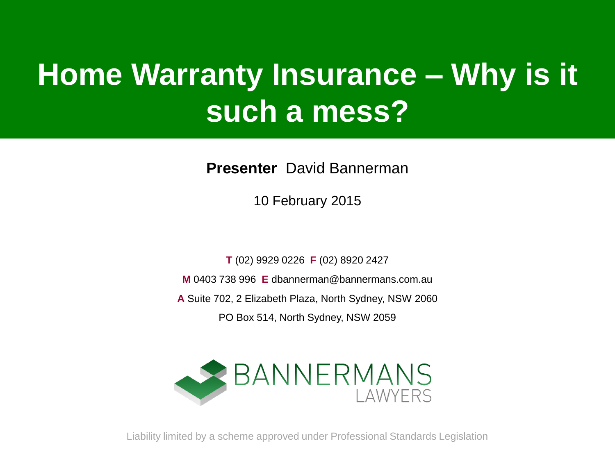### **Home Warranty Insurance – Why is it such a mess?**

**Presenter** David Bannerman

10 February 2015

**T** (02) 9929 0226 **F** (02) 8920 2427

**M** 0403 738 996 **E** dbannerman@bannermans.com.au

**A** Suite 702, 2 Elizabeth Plaza, North Sydney, NSW 2060

PO Box 514, North Sydney, NSW 2059



Liability limited by a scheme approved under Professional Standards Legislation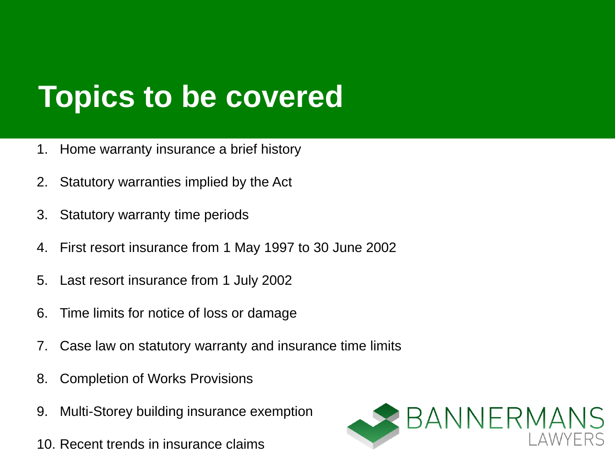### **Topics to be covered**

- 1. Home warranty insurance a brief history
- 2. Statutory warranties implied by the Act
- 3. Statutory warranty time periods
- 4. First resort insurance from 1 May 1997 to 30 June 2002
- 5. Last resort insurance from 1 July 2002
- 6. Time limits for notice of loss or damage
- 7. Case law on statutory warranty and insurance time limits
- 8. Completion of Works Provisions
- 9. Multi-Storey building insurance exemption
- 10. Recent trends in insurance claims

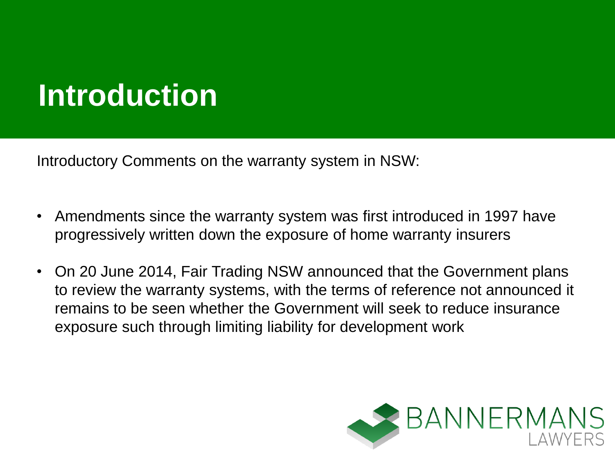### **Introduction**

Introductory Comments on the warranty system in NSW:

- Amendments since the warranty system was first introduced in 1997 have progressively written down the exposure of home warranty insurers
- On 20 June 2014, Fair Trading NSW announced that the Government plans to review the warranty systems, with the terms of reference not announced it remains to be seen whether the Government will seek to reduce insurance exposure such through limiting liability for development work

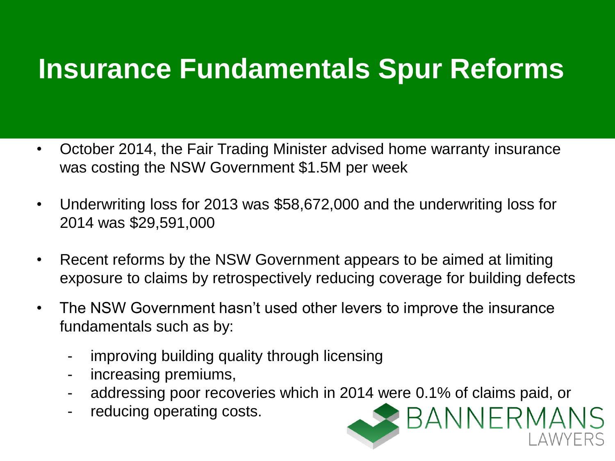### **Insurance Fundamentals Spur Reforms**

- October 2014, the Fair Trading Minister advised home warranty insurance was costing the NSW Government \$1.5M per week
- Underwriting loss for 2013 was \$58,672,000 and the underwriting loss for 2014 was \$29,591,000
- Recent reforms by the NSW Government appears to be aimed at limiting exposure to claims by retrospectively reducing coverage for building defects
- The NSW Government hasn't used other levers to improve the insurance fundamentals such as by:
	- improving building quality through licensing
	- increasing premiums,
	- addressing poor recoveries which in 2014 were 0.1% of claims paid, or

BANNERMANS

reducing operating costs.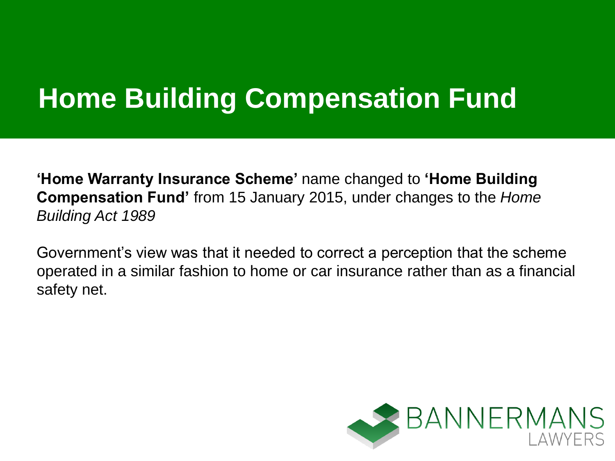### **Home Building Compensation Fund**

**'Home Warranty Insurance Scheme'** name changed to **'Home Building Compensation Fund'** from 15 January 2015, under changes to the *Home Building Act 1989*

Government's view was that it needed to correct a perception that the scheme operated in a similar fashion to home or car insurance rather than as a financial safety net.

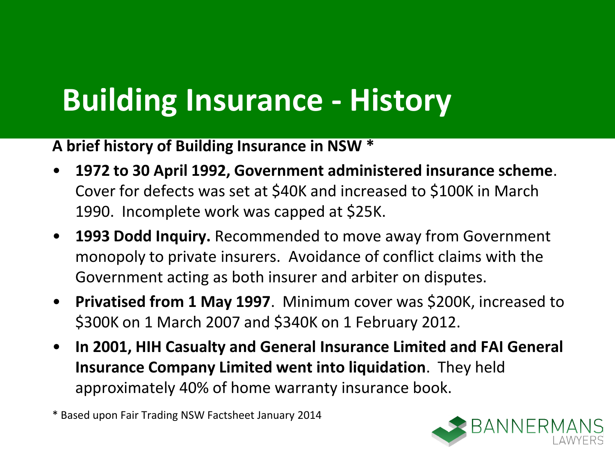### **Building Insurance - History**

**A brief history of Building Insurance in NSW \***

- **1972 to 30 April 1992, Government administered insurance scheme**. Cover for defects was set at \$40K and increased to \$100K in March 1990. Incomplete work was capped at \$25K.
- **1993 Dodd Inquiry.** Recommended to move away from Government monopoly to private insurers. Avoidance of conflict claims with the Government acting as both insurer and arbiter on disputes.
- **Privatised from 1 May 1997**. Minimum cover was \$200K, increased to \$300K on 1 March 2007 and \$340K on 1 February 2012.
- **In 2001, HIH Casualty and General Insurance Limited and FAI General Insurance Company Limited went into liquidation**. They held approximately 40% of home warranty insurance book.

\* Based upon Fair Trading NSW Factsheet January 2014

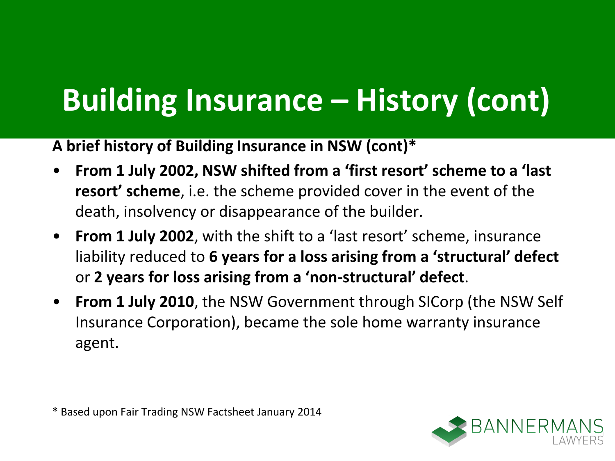## **Building Insurance – History (cont)**

**A brief history of Building Insurance in NSW (cont)\***

- **From 1 July 2002, NSW shifted from a 'first resort' scheme to a 'last resort' scheme**, i.e. the scheme provided cover in the event of the death, insolvency or disappearance of the builder.
- **From 1 July 2002**, with the shift to a 'last resort' scheme, insurance liability reduced to **6 years for a loss arising from a 'structural' defect**  or **2 years for loss arising from a 'non-structural' defect**.
- **From 1 July 2010**, the NSW Government through SICorp (the NSW Self Insurance Corporation), became the sole home warranty insurance agent.

\* Based upon Fair Trading NSW Factsheet January 2014

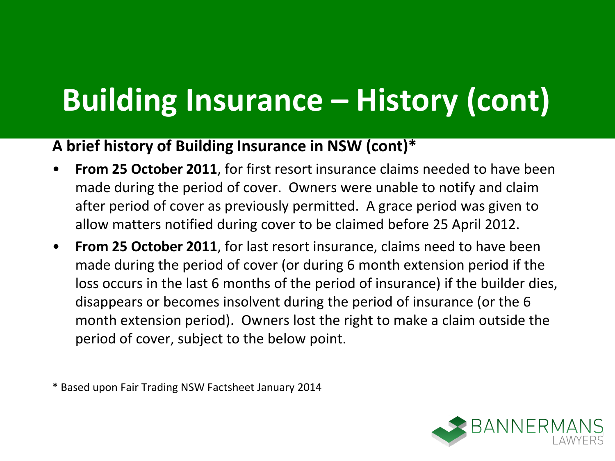## **Building Insurance – History (cont)**

#### **A brief history of Building Insurance in NSW (cont)\***

- **From 25 October 2011**, for first resort insurance claims needed to have been made during the period of cover. Owners were unable to notify and claim after period of cover as previously permitted. A grace period was given to allow matters notified during cover to be claimed before 25 April 2012.
- **From 25 October 2011**, for last resort insurance, claims need to have been made during the period of cover (or during 6 month extension period if the loss occurs in the last 6 months of the period of insurance) if the builder dies, disappears or becomes insolvent during the period of insurance (or the 6 month extension period). Owners lost the right to make a claim outside the period of cover, subject to the below point.

\* Based upon Fair Trading NSW Factsheet January 2014

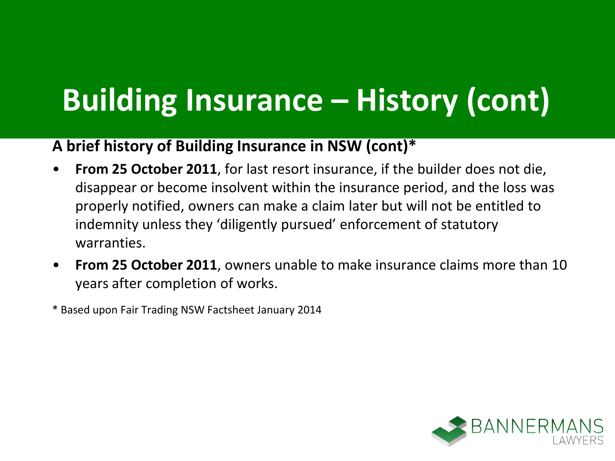## **Building Insurance – History (cont)**

#### **A brief history of Building Insurance in NSW (cont)\***

- **From 25 October 2011**, for last resort insurance, if the builder does not die, disappear or become insolvent within the insurance period, and the loss was properly notified, owners can make a claim later but will not be entitled to indemnity unless they 'diligently pursued' enforcement of statutory warranties.
- **From 25 October 2011**, owners unable to make insurance claims more than 10 years after completion of works.
- \* Based upon Fair Trading NSW Factsheet January 2014

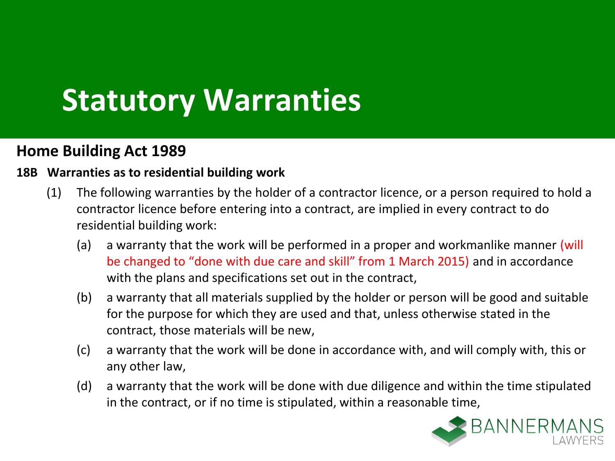### **Statutory Warranties**

#### **Home Building Act 1989**

#### **18B Warranties as to residential building work**

- (1) The following warranties by the holder of a contractor licence, or a person required to hold a contractor licence before entering into a contract, are implied in every contract to do residential building work:
	- (a) a warranty that the work will be performed in a proper and workmanlike manner (will be changed to "done with due care and skill" from 1 March 2015) and in accordance with the plans and specifications set out in the contract,
	- (b) a warranty that all materials supplied by the holder or person will be good and suitable for the purpose for which they are used and that, unless otherwise stated in the contract, those materials will be new,
	- (c) a warranty that the work will be done in accordance with, and will comply with, this or any other law,
	- (d) a warranty that the work will be done with due diligence and within the time stipulated in the contract, or if no time is stipulated, within a reasonable time,

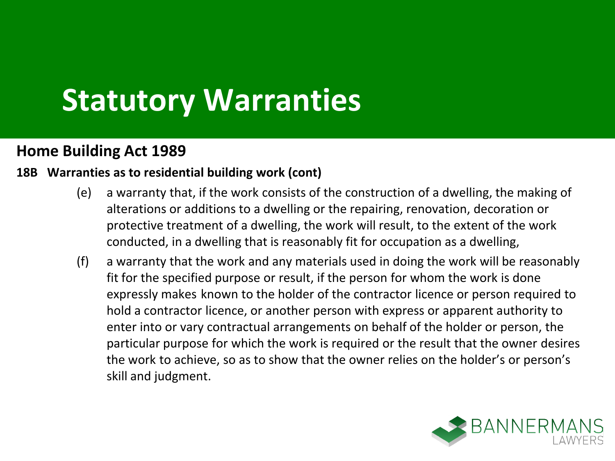### **Statutory Warranties**

#### **Home Building Act 1989**

#### **18B Warranties as to residential building work (cont)**

- (e) a warranty that, if the work consists of the construction of a dwelling, the making of alterations or additions to a dwelling or the repairing, renovation, decoration or protective treatment of a dwelling, the work will result, to the extent of the work conducted, in a dwelling that is reasonably fit for occupation as a dwelling,
- (f) a warranty that the work and any materials used in doing the work will be reasonably fit for the specified purpose or result, if the person for whom the work is done expressly makes known to the holder of the contractor licence or person required to hold a contractor licence, or another person with express or apparent authority to enter into or vary contractual arrangements on behalf of the holder or person, the particular purpose for which the work is required or the result that the owner desires the work to achieve, so as to show that the owner relies on the holder's or person's skill and judgment.

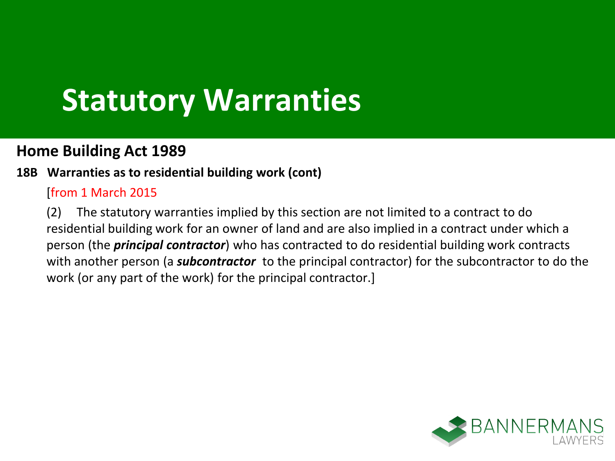### **Statutory Warranties**

#### **Home Building Act 1989**

#### **18B Warranties as to residential building work (cont)**

#### [from 1 March 2015

(2) The statutory warranties implied by this section are not limited to a contract to do residential building work for an owner of land and are also implied in a contract under which a person (the *principal contractor*) who has contracted to do residential building work contracts with another person (a *subcontractor* to the principal contractor) for the subcontractor to do the work (or any part of the work) for the principal contractor.]

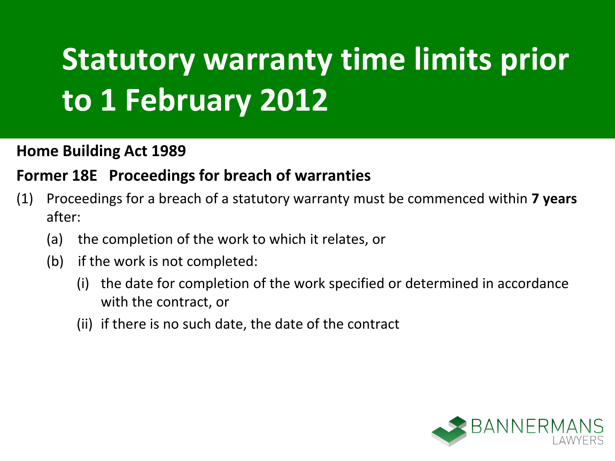## **Statutory warranty time limits prior to 1 February 2012**

#### **Home Building Act 1989**

#### **Former 18E Proceedings for breach of warranties**

- (1) Proceedings for a breach of a statutory warranty must be commenced within **7 years**  after:
	- (a) the completion of the work to which it relates, or
	- (b) if the work is not completed:
		- (i) the date for completion of the work specified or determined in accordance with the contract, or
		- (ii) if there is no such date, the date of the contract

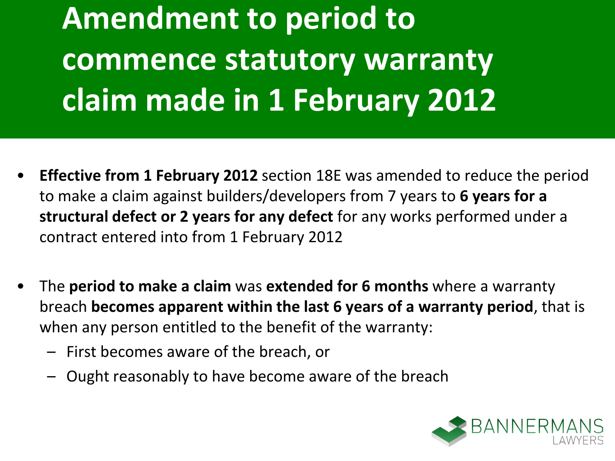**Amendment to period to commence statutory warranty claim made in 1 February 2012**

- **Effective from 1 February 2012** section 18E was amended to reduce the period to make a claim against builders/developers from 7 years to **6 years for a structural defect or 2 years for any defect** for any works performed under a contract entered into from 1 February 2012
- The **period to make a claim** was **extended for 6 months** where a warranty breach **becomes apparent within the last 6 years of a warranty period**, that is when any person entitled to the benefit of the warranty:
	- First becomes aware of the breach, or
	- Ought reasonably to have become aware of the breach

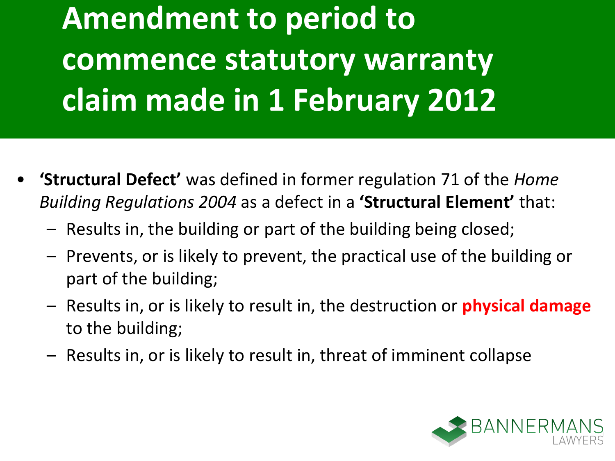**Amendment to period to commence statutory warranty claim made in 1 February 2012**

- **'Structural Defect'** was defined in former regulation 71 of the *Home Building Regulations 2004* as a defect in a **'Structural Element'** that:
	- Results in, the building or part of the building being closed;
	- Prevents, or is likely to prevent, the practical use of the building or part of the building;
	- Results in, or is likely to result in, the destruction or **physical damage** to the building;
	- Results in, or is likely to result in, threat of imminent collapse

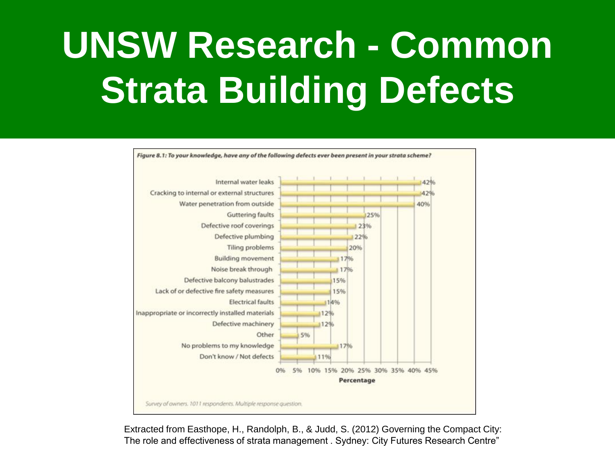## **UNSW Research - Common Strata Building Defects**



Extracted from Easthope, H., Randolph, B., & Judd, S. (2012) Governing the Compact City: The role and effectiveness of strata management . Sydney: City Futures Research Centre"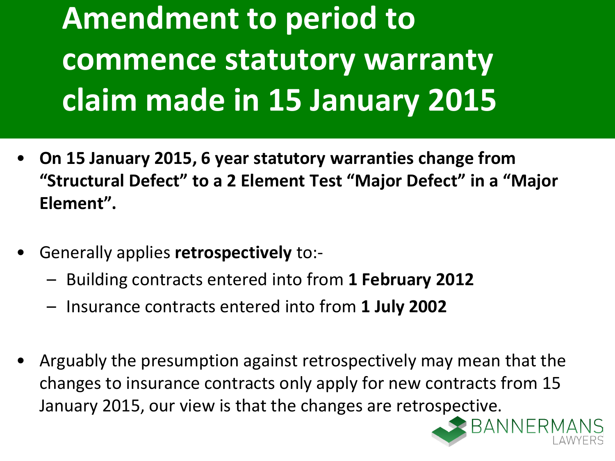**Amendment to period to commence statutory warranty claim made in 15 January 2015**

- **On 15 January 2015, 6 year statutory warranties change from "Structural Defect" to a 2 Element Test "Major Defect" in a "Major Element".**
- Generally applies **retrospectively** to:-
	- Building contracts entered into from **1 February 2012**
	- Insurance contracts entered into from **1 July 2002**
- Arguably the presumption against retrospectively may mean that the changes to insurance contracts only apply for new contracts from 15 January 2015, our view is that the changes are retrospective.

RANNER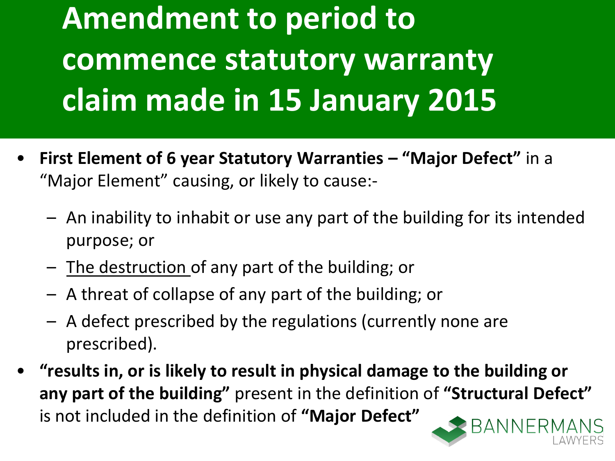**Amendment to period to commence statutory warranty claim made in 15 January 2015**

- **First Element of 6 year Statutory Warranties – "Major Defect"** in a "Major Element" causing, or likely to cause:-
	- An inability to inhabit or use any part of the building for its intended purpose; or
	- The destruction of any part of the building; or
	- A threat of collapse of any part of the building; or
	- A defect prescribed by the regulations (currently none are prescribed).
- **"results in, or is likely to result in physical damage to the building or any part of the building"** present in the definition of **"Structural Defect"** is not included in the definition of **"Major Defect"**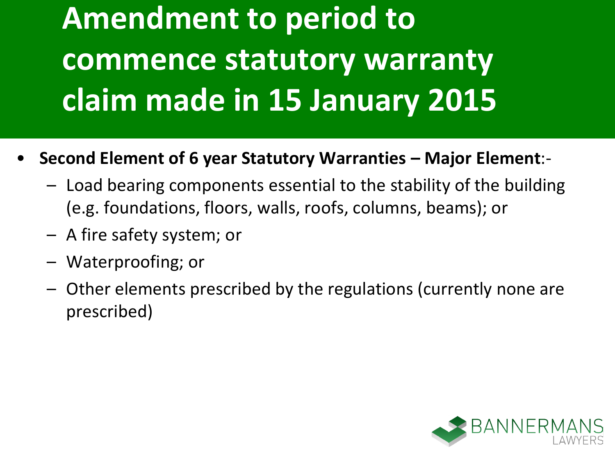**Amendment to period to commence statutory warranty claim made in 15 January 2015**

- **Second Element of 6 year Statutory Warranties – Major Element**:-
	- Load bearing components essential to the stability of the building (e.g. foundations, floors, walls, roofs, columns, beams); or
	- A fire safety system; or
	- Waterproofing; or
	- Other elements prescribed by the regulations (currently none are prescribed)

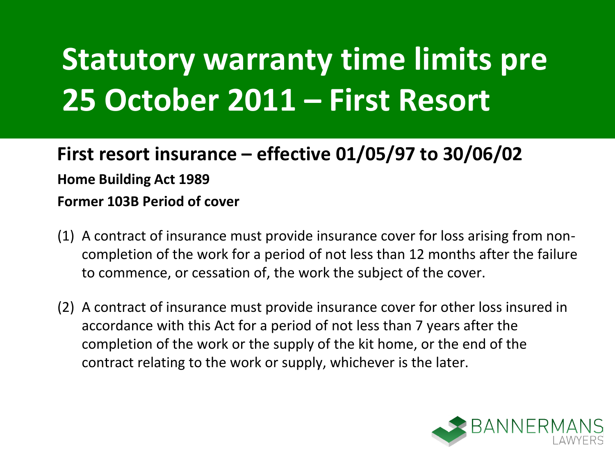### **First resort insurance – effective 01/05/97 to 30/06/02 Home Building Act 1989 Former 103B Period of cover**

- (1) A contract of insurance must provide insurance cover for loss arising from noncompletion of the work for a period of not less than 12 months after the failure to commence, or cessation of, the work the subject of the cover.
- (2) A contract of insurance must provide insurance cover for other loss insured in accordance with this Act for a period of not less than 7 years after the completion of the work or the supply of the kit home, or the end of the contract relating to the work or supply, whichever is the later.

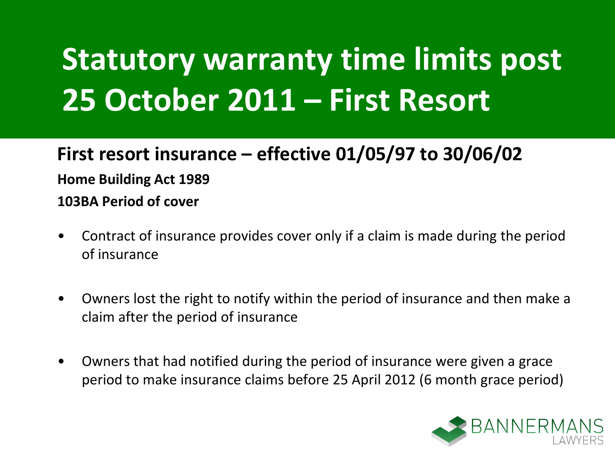### **First resort insurance – effective 01/05/97 to 30/06/02 Home Building Act 1989 103BA Period of cover**

- Contract of insurance provides cover only if a claim is made during the period of insurance
- Owners lost the right to notify within the period of insurance and then make a claim after the period of insurance
- Owners that had notified during the period of insurance were given a grace period to make insurance claims before 25 April 2012 (6 month grace period)

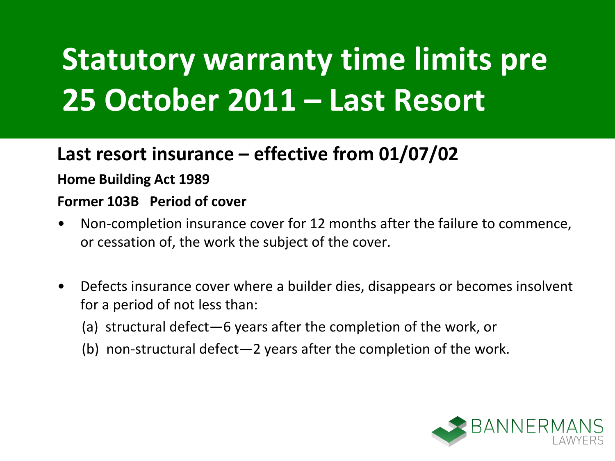### **Last resort insurance – effective from 01/07/02**

#### **Home Building Act 1989**

#### **Former 103B Period of cover**

- Non-completion insurance cover for 12 months after the failure to commence, or cessation of, the work the subject of the cover.
- Defects insurance cover where a builder dies, disappears or becomes insolvent for a period of not less than:
	- (a) structural defect—6 years after the completion of the work, or
	- (b) non-structural defect—2 years after the completion of the work.

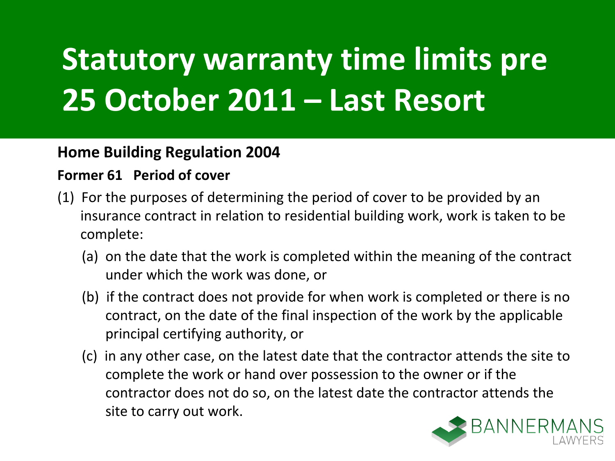#### **Home Building Regulation 2004**

#### **Former 61 Period of cover**

- (1) For the purposes of determining the period of cover to be provided by an insurance contract in relation to residential building work, work is taken to be complete:
	- (a) on the date that the work is completed within the meaning of the contract under which the work was done, or
	- (b) if the contract does not provide for when work is completed or there is no contract, on the date of the final inspection of the work by the applicable principal certifying authority, or
	- (c) in any other case, on the latest date that the contractor attends the site to complete the work or hand over possession to the owner or if the contractor does not do so, on the latest date the contractor attends the site to carry out work.

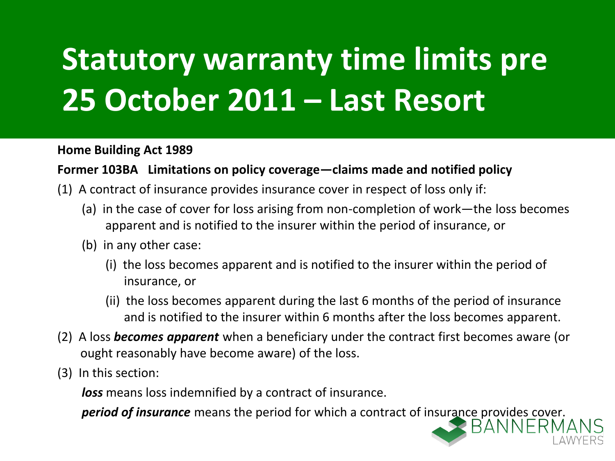**Home Building Act 1989**

#### **Former 103BA Limitations on policy coverage—claims made and notified policy**

- (1) A contract of insurance provides insurance cover in respect of loss only if:
	- (a) in the case of cover for loss arising from non-completion of work—the loss becomes apparent and is notified to the insurer within the period of insurance, or
	- (b) in any other case:
		- (i) the loss becomes apparent and is notified to the insurer within the period of insurance, or
		- (ii) the loss becomes apparent during the last 6 months of the period of insurance and is notified to the insurer within 6 months after the loss becomes apparent.
- (2) A loss *becomes apparent* when a beneficiary under the contract first becomes aware (or ought reasonably have become aware) of the loss.
- (3) In this section:

*loss* means loss indemnified by a contract of insurance.

**period of insurance** means the period for which a contract of insurance provides cover.<br>RANNERM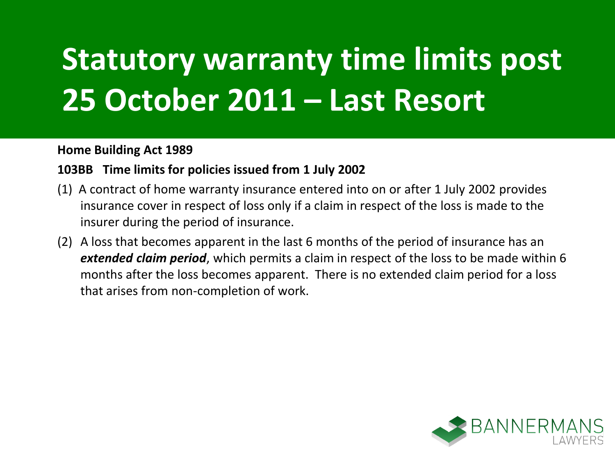#### **Home Building Act 1989**

#### **103BB Time limits for policies issued from 1 July 2002**

- (1) A contract of home warranty insurance entered into on or after 1 July 2002 provides insurance cover in respect of loss only if a claim in respect of the loss is made to the insurer during the period of insurance.
- (2) A loss that becomes apparent in the last 6 months of the period of insurance has an *extended claim period*, which permits a claim in respect of the loss to be made within 6 months after the loss becomes apparent. There is no extended claim period for a loss that arises from non-completion of work.

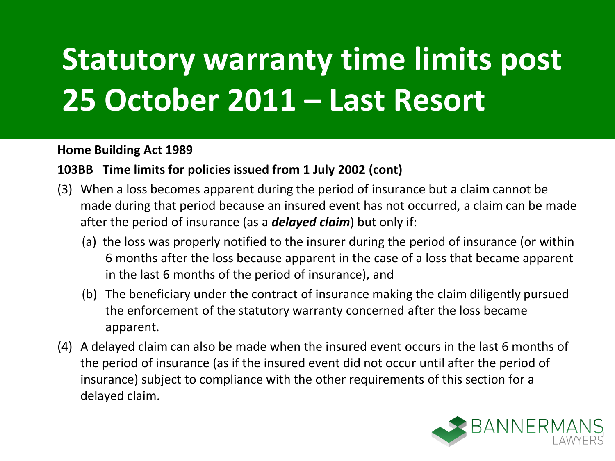#### **Home Building Act 1989**

#### **103BB Time limits for policies issued from 1 July 2002 (cont)**

- (3) When a loss becomes apparent during the period of insurance but a claim cannot be made during that period because an insured event has not occurred, a claim can be made after the period of insurance (as a *delayed claim*) but only if:
	- (a) the loss was properly notified to the insurer during the period of insurance (or within 6 months after the loss because apparent in the case of a loss that became apparent in the last 6 months of the period of insurance), and
	- (b) The beneficiary under the contract of insurance making the claim diligently pursued the enforcement of the statutory warranty concerned after the loss became apparent.
- (4) A delayed claim can also be made when the insured event occurs in the last 6 months of the period of insurance (as if the insured event did not occur until after the period of insurance) subject to compliance with the other requirements of this section for a delayed claim.

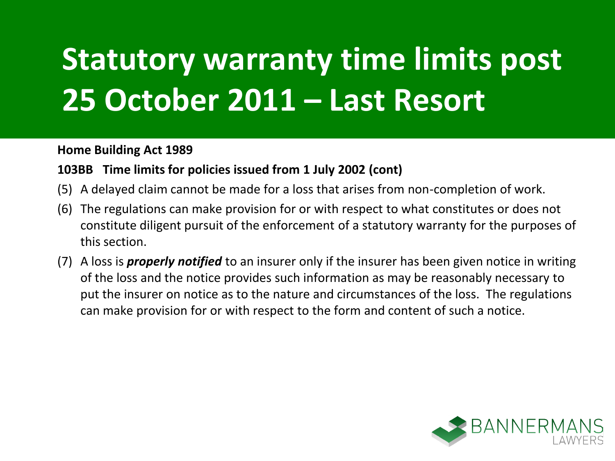#### **Home Building Act 1989**

#### **103BB Time limits for policies issued from 1 July 2002 (cont)**

- (5) A delayed claim cannot be made for a loss that arises from non-completion of work.
- (6) The regulations can make provision for or with respect to what constitutes or does not constitute diligent pursuit of the enforcement of a statutory warranty for the purposes of this section.
- (7) A loss is *properly notified* to an insurer only if the insurer has been given notice in writing of the loss and the notice provides such information as may be reasonably necessary to put the insurer on notice as to the nature and circumstances of the loss. The regulations can make provision for or with respect to the form and content of such a notice.

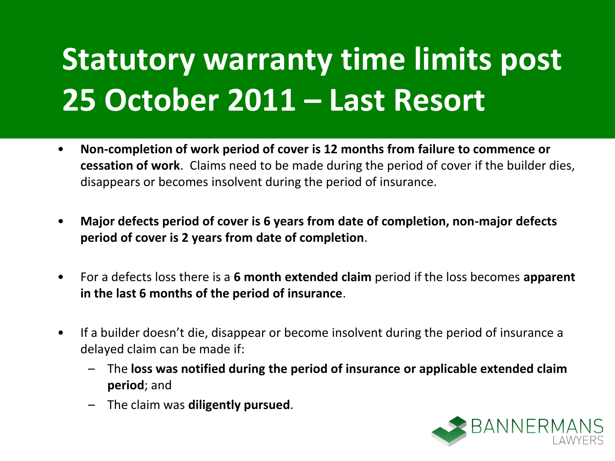- **Non-completion of work period of cover is 12 months from failure to commence or cessation of work**. Claims need to be made during the period of cover if the builder dies, disappears or becomes insolvent during the period of insurance.
- **Major defects period of cover is 6 years from date of completion, non-major defects period of cover is 2 years from date of completion**.
- For a defects loss there is a **6 month extended claim** period if the loss becomes **apparent in the last 6 months of the period of insurance**.
- If a builder doesn't die, disappear or become insolvent during the period of insurance a delayed claim can be made if:
	- The **loss was notified during the period of insurance or applicable extended claim period**; and
	- The claim was **diligently pursued**.

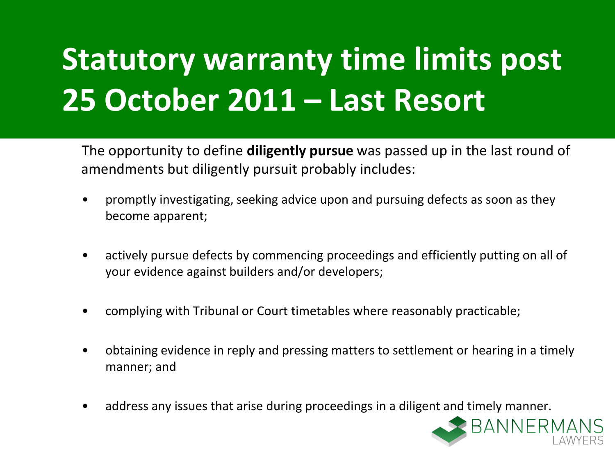The opportunity to define **diligently pursue** was passed up in the last round of amendments but diligently pursuit probably includes:

- promptly investigating, seeking advice upon and pursuing defects as soon as they become apparent;
- actively pursue defects by commencing proceedings and efficiently putting on all of your evidence against builders and/or developers;
- complying with Tribunal or Court timetables where reasonably practicable;
- obtaining evidence in reply and pressing matters to settlement or hearing in a timely manner; and
- address any issues that arise during proceedings in a diligent and timely manner.

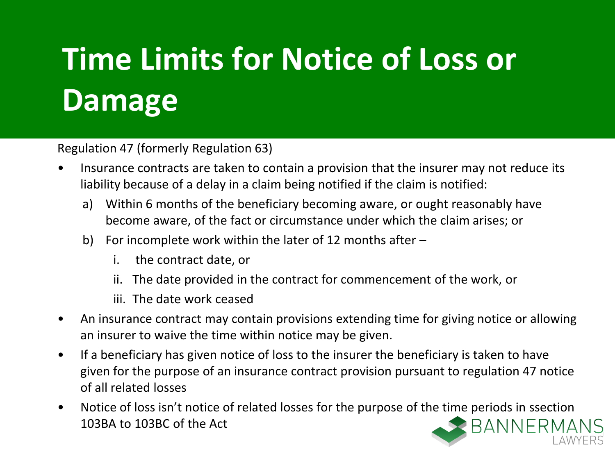## **Time Limits for Notice of Loss or Damage**

Regulation 47 (formerly Regulation 63)

- Insurance contracts are taken to contain a provision that the insurer may not reduce its liability because of a delay in a claim being notified if the claim is notified:
	- a) Within 6 months of the beneficiary becoming aware, or ought reasonably have become aware, of the fact or circumstance under which the claim arises; or
	- b) For incomplete work within the later of 12 months after
		- i. the contract date, or
		- ii. The date provided in the contract for commencement of the work, or
		- iii. The date work ceased
- An insurance contract may contain provisions extending time for giving notice or allowing an insurer to waive the time within notice may be given.
- If a beneficiary has given notice of loss to the insurer the beneficiary is taken to have given for the purpose of an insurance contract provision pursuant to regulation 47 notice of all related losses
- Notice of loss isn't notice of related losses for the purpose of the time periods in ssection **BANNERMA** 103BA to 103BC of the Act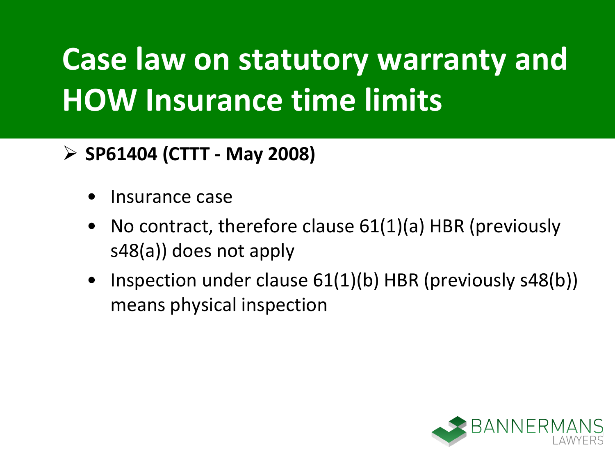## **Case law on statutory warranty and HOW Insurance time limits**

### **SP61404 (CTTT - May 2008)**

- Insurance case
- No contract, therefore clause 61(1)(a) HBR (previously s48(a)) does not apply
- Inspection under clause 61(1)(b) HBR (previously s48(b)) means physical inspection

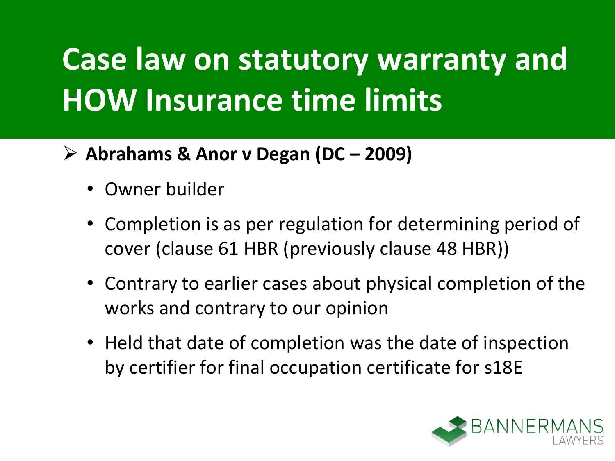## **Case law on statutory warranty and HOW Insurance time limits**

- **Abrahams & Anor v Degan (DC – 2009)**
	- Owner builder
	- Completion is as per regulation for determining period of cover (clause 61 HBR (previously clause 48 HBR))
	- Contrary to earlier cases about physical completion of the works and contrary to our opinion
	- Held that date of completion was the date of inspection by certifier for final occupation certificate for s18E

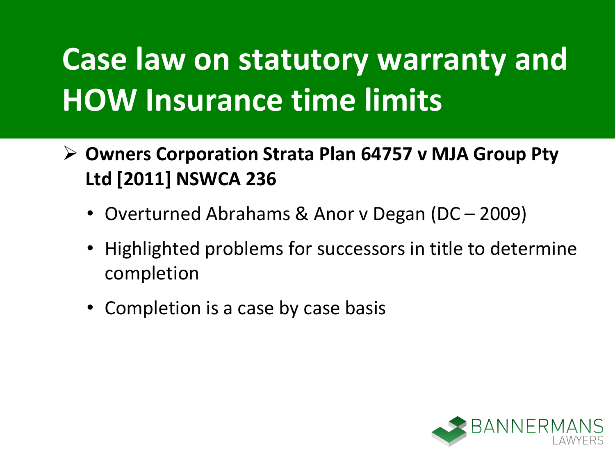## **Case law on statutory warranty and HOW Insurance time limits**

- **Owners Corporation Strata Plan 64757 v MJA Group Pty Ltd [2011] NSWCA 236** 
	- Overturned Abrahams & Anor v Degan (DC 2009)
	- Highlighted problems for successors in title to determine completion
	- Completion is a case by case basis

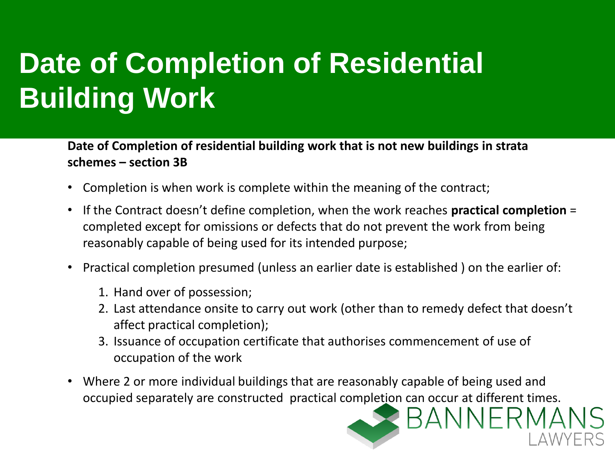### **Date of Completion of Residential Building Work**

**Date of Completion of residential building work that is not new buildings in strata schemes – section 3B**

- Completion is when work is complete within the meaning of the contract;
- If the Contract doesn't define completion, when the work reaches **practical completion** = completed except for omissions or defects that do not prevent the work from being reasonably capable of being used for its intended purpose;
- Practical completion presumed (unless an earlier date is established ) on the earlier of:
	- 1. Hand over of possession;
	- 2. Last attendance onsite to carry out work (other than to remedy defect that doesn't affect practical completion);
	- 3. Issuance of occupation certificate that authorises commencement of use of occupation of the work
- Where 2 or more individual buildings that are reasonably capable of being used and occupied separately are constructed practical completion can occur at different times.

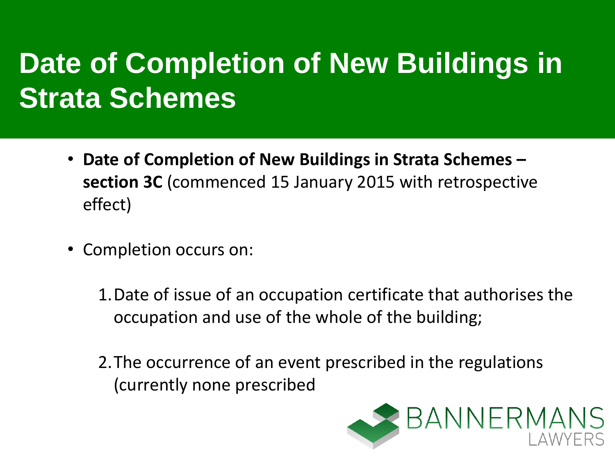### **Date of Completion of New Buildings in Strata Schemes**

- **Date of Completion of New Buildings in Strata Schemes – section 3C** (commenced 15 January 2015 with retrospective effect)
- Completion occurs on:
	- 1.Date of issue of an occupation certificate that authorises the occupation and use of the whole of the building;
	- 2.The occurrence of an event prescribed in the regulations (currently none prescribed

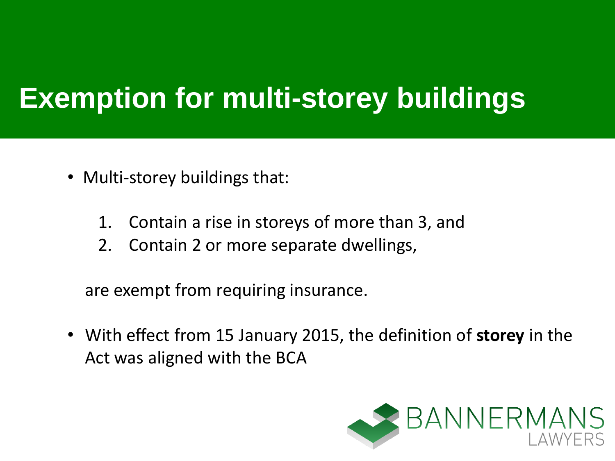- Multi-storey buildings that:
	- 1. Contain a rise in storeys of more than 3, and
	- 2. Contain 2 or more separate dwellings,

are exempt from requiring insurance.

• With effect from 15 January 2015, the definition of **storey** in the Act was aligned with the BCA

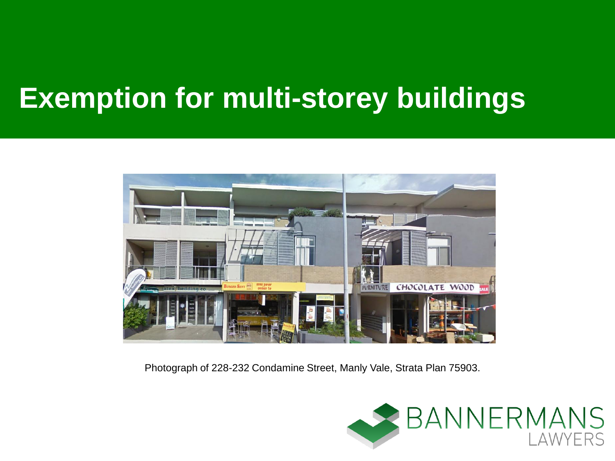

Photograph of 228-232 Condamine Street, Manly Vale, Strata Plan 75903.

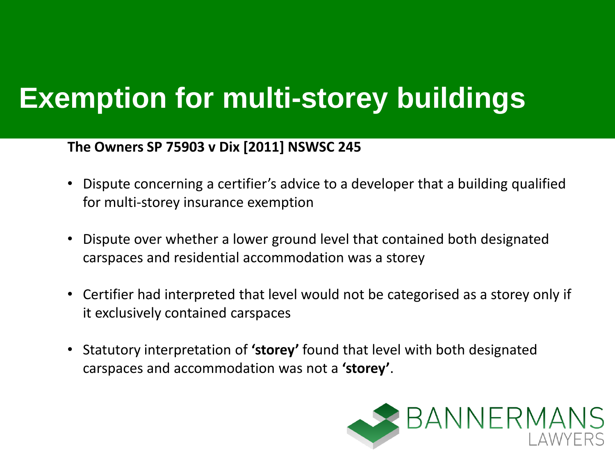#### **The Owners SP 75903 v Dix [2011] NSWSC 245**

- Dispute concerning a certifier's advice to a developer that a building qualified for multi-storey insurance exemption
- Dispute over whether a lower ground level that contained both designated carspaces and residential accommodation was a storey
- Certifier had interpreted that level would not be categorised as a storey only if it exclusively contained carspaces
- Statutory interpretation of **'storey'** found that level with both designated carspaces and accommodation was not a **'storey'**.

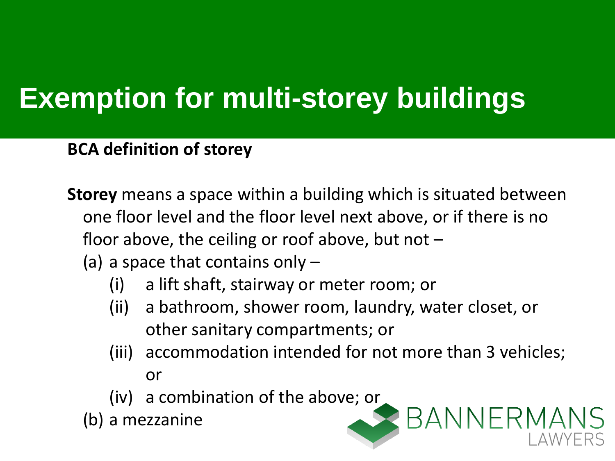**BCA definition of storey**

- **Storey** means a space within a building which is situated between one floor level and the floor level next above, or if there is no floor above, the ceiling or roof above, but not  $-$ 
	- (a) a space that contains only  $-$ 
		- (i) a lift shaft, stairway or meter room; or
		- (ii) a bathroom, shower room, laundry, water closet, or other sanitary compartments; or
		- (iii) accommodation intended for not more than 3 vehicles; or

**BANNERMANS** 

(iv) a combination of the above; or

(b) a mezzanine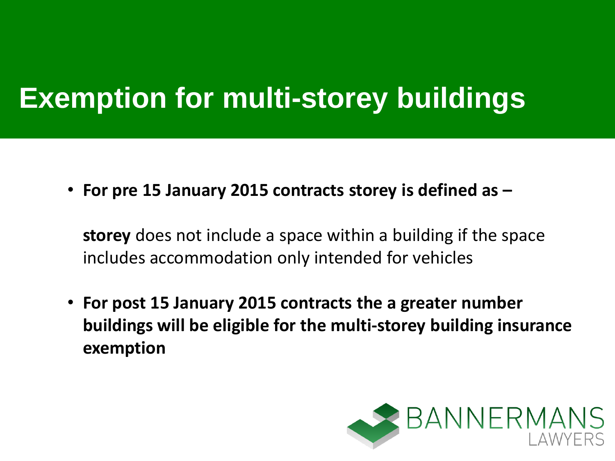• **For pre 15 January 2015 contracts storey is defined as –**

**storey** does not include a space within a building if the space includes accommodation only intended for vehicles

• **For post 15 January 2015 contracts the a greater number buildings will be eligible for the multi-storey building insurance exemption**

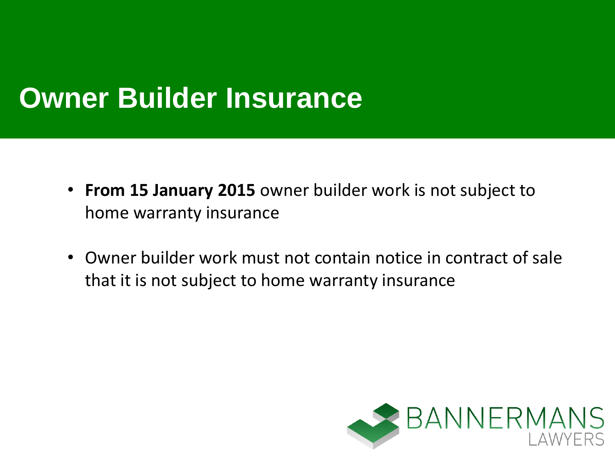### **Owner Builder Insurance**

- **From 15 January 2015** owner builder work is not subject to home warranty insurance
- Owner builder work must not contain notice in contract of sale that it is not subject to home warranty insurance

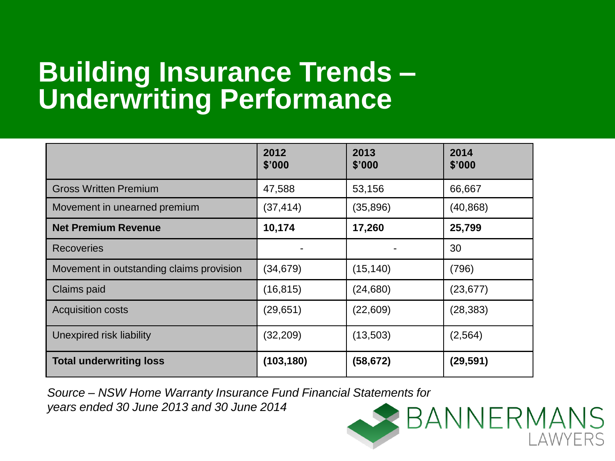### **Building Insurance Trends – Underwriting Performance**

|                                          | 2012<br>\$'000 | 2013<br>\$'000 | 2014<br>\$'000 |
|------------------------------------------|----------------|----------------|----------------|
| <b>Gross Written Premium</b>             | 47,588         | 53,156         | 66,667         |
| Movement in unearned premium             | (37, 414)      | (35,896)       | (40, 868)      |
| <b>Net Premium Revenue</b>               | 10,174         | 17,260         | 25,799         |
| <b>Recoveries</b>                        |                |                | 30             |
| Movement in outstanding claims provision | (34, 679)      | (15, 140)      | (796)          |
| Claims paid                              | (16, 815)      | (24, 680)      | (23, 677)      |
| <b>Acquisition costs</b>                 | (29, 651)      | (22,609)       | (28, 383)      |
| Unexpired risk liability                 | (32, 209)      | (13,503)       | (2, 564)       |
| <b>Total underwriting loss</b>           | (103, 180)     | (58, 672)      | (29, 591)      |

AWYFRS

*Source – NSW Home Warranty Insurance Fund Financial Statements for years ended 30 June 2013 and 30 June 2014* BANNERMANS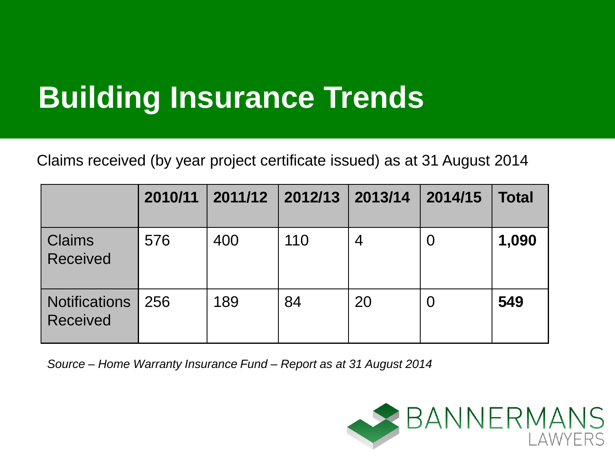### **Building Insurance Trends**

Claims received (by year project certificate issued) as at 31 August 2014

|                                         | 2010/11 | 2011/12 2012/13 2013/14 |     |                | 2014/15 | <b>Total</b> |
|-----------------------------------------|---------|-------------------------|-----|----------------|---------|--------------|
| <b>Claims</b><br><b>Received</b>        | 576     | 400                     | 110 | $\overline{4}$ |         | 1,090        |
| <b>Notifications</b><br><b>Received</b> | 256     | 189                     | 84  | 20             |         | 549          |

*Source – Home Warranty Insurance Fund – Report as at 31 August 2014*

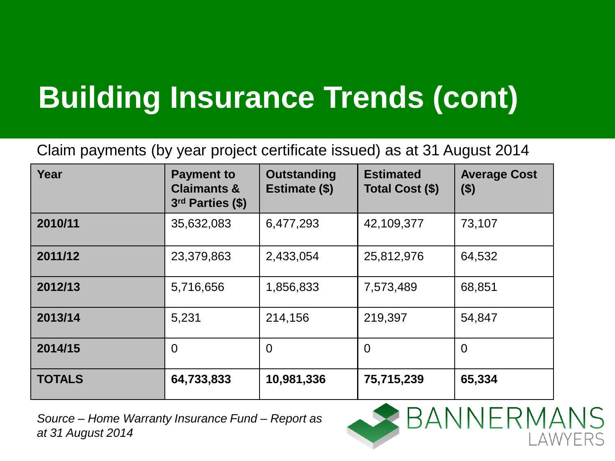## **Building Insurance Trends (cont)**

Claim payments (by year project certificate issued) as at 31 August 2014

| Year          | <b>Payment to</b><br><b>Claimants &amp;</b><br>3rd Parties (\$) | Outstanding<br>Estimate (\$) | <b>Estimated</b><br>Total Cost (\$) | <b>Average Cost</b><br>$($ \$) |
|---------------|-----------------------------------------------------------------|------------------------------|-------------------------------------|--------------------------------|
| 2010/11       | 35,632,083                                                      | 6,477,293                    | 42,109,377                          | 73,107                         |
| 2011/12       | 23,379,863                                                      | 2,433,054                    | 25,812,976                          | 64,532                         |
| 2012/13       | 5,716,656                                                       | 1,856,833                    | 7,573,489                           | 68,851                         |
| 2013/14       | 5,231                                                           | 214,156                      | 219,397                             | 54,847                         |
| 2014/15       | $\overline{0}$                                                  | $\Omega$                     | 0                                   | $\Omega$                       |
| <b>TOTALS</b> | 64,733,833                                                      | 10,981,336                   | 75,715,239                          | 65,334                         |

*Source – Home Warranty Insurance Fund – Report as at 31 August 2014*

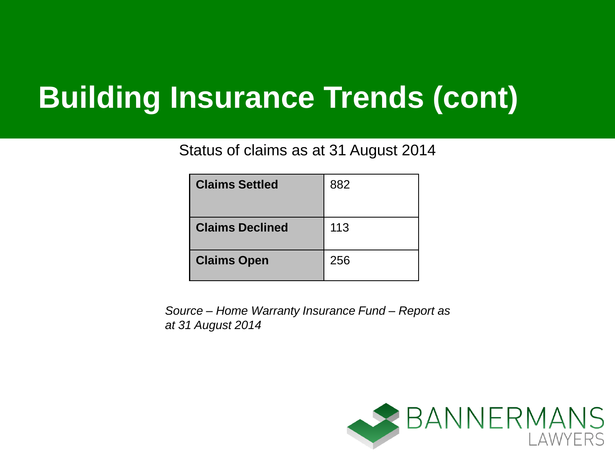### **Building Insurance Trends (cont)**

Status of claims as at 31 August 2014

| <b>Claims Settled</b>  | 882 |
|------------------------|-----|
| <b>Claims Declined</b> | 113 |
| <b>Claims Open</b>     | 256 |

*Source – Home Warranty Insurance Fund – Report as at 31 August 2014*

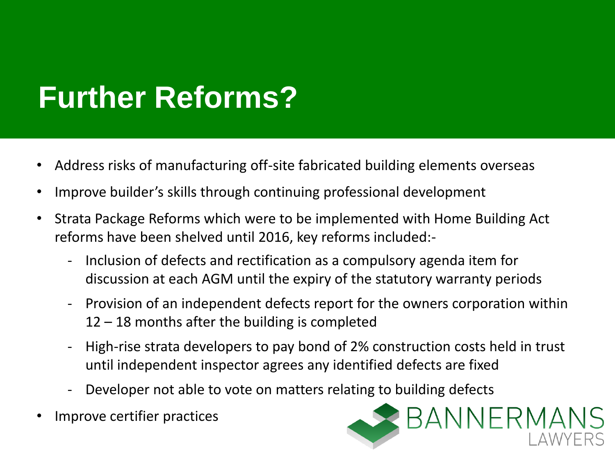### **Further Reforms?**

- Address risks of manufacturing off-site fabricated building elements overseas
- Improve builder's skills through continuing professional development
- Strata Package Reforms which were to be implemented with Home Building Act reforms have been shelved until 2016, key reforms included:-
	- Inclusion of defects and rectification as a compulsory agenda item for discussion at each AGM until the expiry of the statutory warranty periods
	- Provision of an independent defects report for the owners corporation within 12 – 18 months after the building is completed
	- High-rise strata developers to pay bond of 2% construction costs held in trust until independent inspector agrees any identified defects are fixed
	- Developer not able to vote on matters relating to building defects
- Improve certifier practices

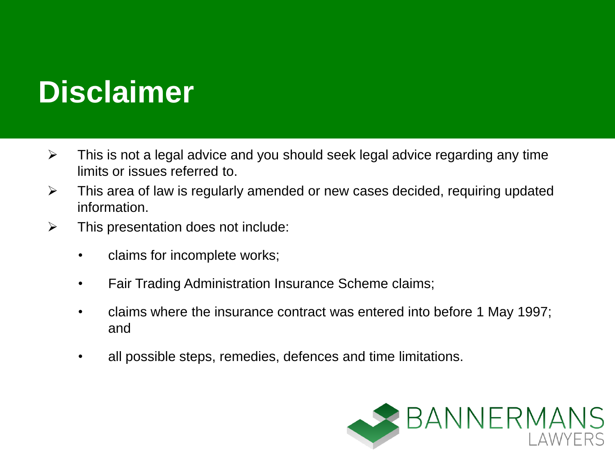### **Disclaimer**

- $\triangleright$  This is not a legal advice and you should seek legal advice regarding any time limits or issues referred to.
- $\triangleright$  This area of law is regularly amended or new cases decided, requiring updated information.
- $\triangleright$  This presentation does not include:
	- claims for incomplete works;
	- Fair Trading Administration Insurance Scheme claims;
	- claims where the insurance contract was entered into before 1 May 1997; and
	- all possible steps, remedies, defences and time limitations.